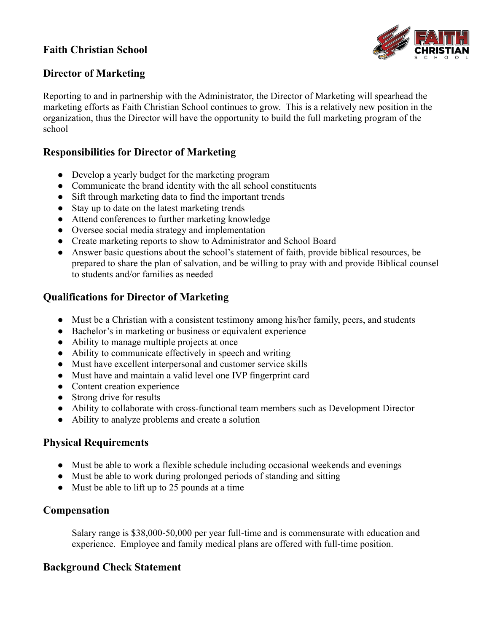## **Faith Christian School**



#### **Director of Marketing**

Reporting to and in partnership with the Administrator, the Director of Marketing will spearhead the marketing efforts as Faith Christian School continues to grow. This is a relatively new position in the organization, thus the Director will have the opportunity to build the full marketing program of the school

#### **Responsibilities for Director of Marketing**

- Develop a yearly budget for the marketing program
- Communicate the brand identity with the all school constituents
- Sift through marketing data to find the important trends
- Stay up to date on the latest marketing trends
- Attend conferences to further marketing knowledge
- Oversee social media strategy and implementation
- Create marketing reports to show to Administrator and School Board
- Answer basic questions about the school's statement of faith, provide biblical resources, be prepared to share the plan of salvation, and be willing to pray with and provide Biblical counsel to students and/or families as needed

### **Qualifications for Director of Marketing**

- Must be a Christian with a consistent testimony among his/her family, peers, and students
- Bachelor's in marketing or business or equivalent experience
- Ability to manage multiple projects at once
- Ability to communicate effectively in speech and writing
- Must have excellent interpersonal and customer service skills
- Must have and maintain a valid level one IVP fingerprint card
- Content creation experience
- Strong drive for results
- Ability to collaborate with cross-functional team members such as Development Director
- Ability to analyze problems and create a solution

#### **Physical Requirements**

- Must be able to work a flexible schedule including occasional weekends and evenings
- Must be able to work during prolonged periods of standing and sitting
- Must be able to lift up to 25 pounds at a time

#### **Compensation**

Salary range is \$38,000-50,000 per year full-time and is commensurate with education and experience. Employee and family medical plans are offered with full-time position.

#### **Background Check Statement**